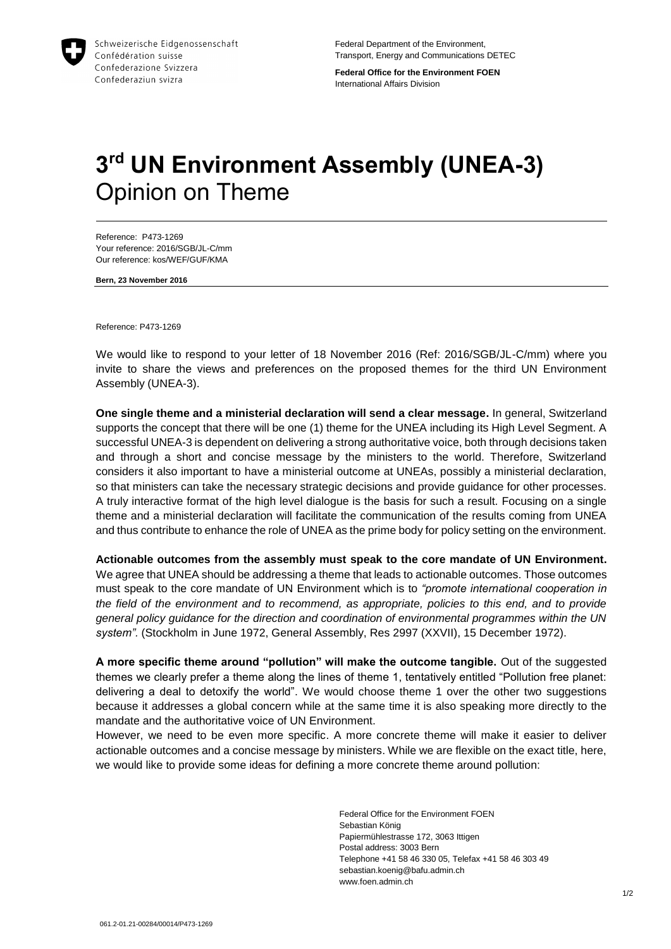

Federal Department of the Environment, Transport, Energy and Communications DETEC

**Federal Office for the Environment FOEN** International Affairs Division

## **3 rd UN Environment Assembly (UNEA-3)**  Opinion on Theme

Reference: P473-1269 Your reference: 2016/SGB/JL-C/mm Our reference: kos/WEF/GUF/KMA

**Bern, 23 November 2016**

Reference: P473-1269

We would like to respond to your letter of 18 November 2016 (Ref: 2016/SGB/JL-C/mm) where you invite to share the views and preferences on the proposed themes for the third UN Environment Assembly (UNEA-3).

**One single theme and a ministerial declaration will send a clear message.** In general, Switzerland supports the concept that there will be one (1) theme for the UNEA including its High Level Segment. A successful UNEA-3 is dependent on delivering a strong authoritative voice, both through decisions taken and through a short and concise message by the ministers to the world. Therefore, Switzerland considers it also important to have a ministerial outcome at UNEAs, possibly a ministerial declaration, so that ministers can take the necessary strategic decisions and provide guidance for other processes. A truly interactive format of the high level dialogue is the basis for such a result. Focusing on a single theme and a ministerial declaration will facilitate the communication of the results coming from UNEA and thus contribute to enhance the role of UNEA as the prime body for policy setting on the environment.

**Actionable outcomes from the assembly must speak to the core mandate of UN Environment.**  We agree that UNEA should be addressing a theme that leads to actionable outcomes. Those outcomes must speak to the core mandate of UN Environment which is to *"promote international cooperation in the field of the environment and to recommend, as appropriate, policies to this end, and to provide general policy guidance for the direction and coordination of environmental programmes within the UN system".* (Stockholm in June 1972, General Assembly, Res 2997 (XXVII), 15 December 1972).

**A more specific theme around "pollution" will make the outcome tangible.** Out of the suggested themes we clearly prefer a theme along the lines of theme 1, tentatively entitled "Pollution free planet: delivering a deal to detoxify the world". We would choose theme 1 over the other two suggestions because it addresses a global concern while at the same time it is also speaking more directly to the mandate and the authoritative voice of UN Environment.

However, we need to be even more specific. A more concrete theme will make it easier to deliver actionable outcomes and a concise message by ministers. While we are flexible on the exact title, here, we would like to provide some ideas for defining a more concrete theme around pollution:

> Federal Office for the Environment FOEN Sebastian König Papiermühlestrasse 172, 3063 Ittigen Postal address: 3003 Bern Telephone +41 58 46 330 05, Telefax +41 58 46 303 49 sebastian.koenig@bafu.admin.ch www.foen.admin.ch